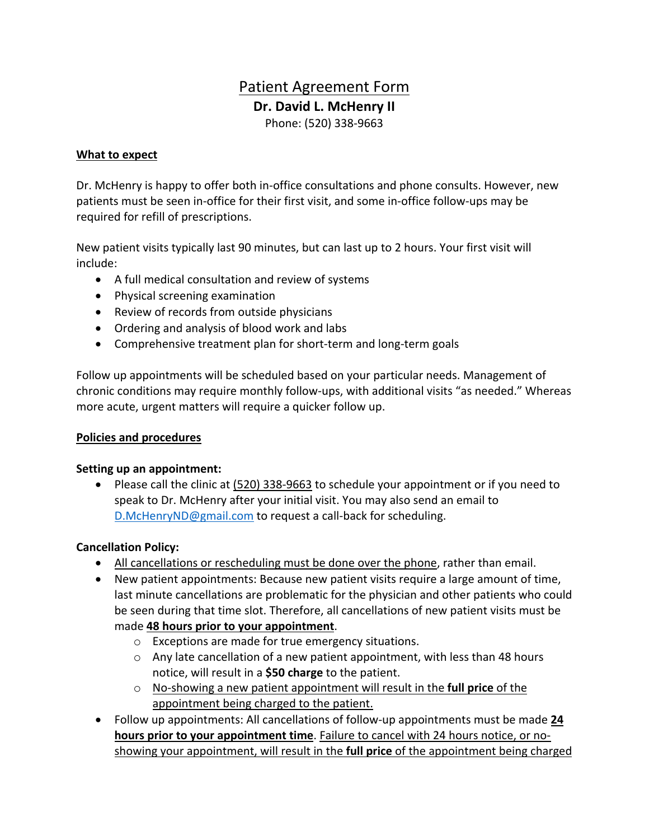# Patient Agreement Form **Dr. David L. McHenry II** Phone: (520) 338-9663

#### **What to expect**

Dr. McHenry is happy to offer both in-office consultations and phone consults. However, new patients must be seen in-office for their first visit, and some in-office follow-ups may be required for refill of prescriptions.

New patient visits typically last 90 minutes, but can last up to 2 hours. Your first visit will include:

- A full medical consultation and review of systems
- Physical screening examination
- Review of records from outside physicians
- Ordering and analysis of blood work and labs
- Comprehensive treatment plan for short-term and long-term goals

Follow up appointments will be scheduled based on your particular needs. Management of chronic conditions may require monthly follow-ups, with additional visits "as needed." Whereas more acute, urgent matters will require a quicker follow up.

#### **Policies and procedures**

#### **Setting up an appointment:**

• Please call the clinic at (520) 338-9663 to schedule your appointment or if you need to speak to Dr. McHenry after your initial visit. You may also send an email to D.McHenryND@gmail.com to request a call-back for scheduling.

#### **Cancellation Policy:**

- All cancellations or rescheduling must be done over the phone, rather than email.
- New patient appointments: Because new patient visits require a large amount of time, last minute cancellations are problematic for the physician and other patients who could be seen during that time slot. Therefore, all cancellations of new patient visits must be made **48 hours prior to your appointment**.
	- o Exceptions are made for true emergency situations.
	- $\circ$  Any late cancellation of a new patient appointment, with less than 48 hours notice, will result in a **\$50 charge** to the patient.
	- o No-showing a new patient appointment will result in the **full price** of the appointment being charged to the patient.
- Follow up appointments: All cancellations of follow-up appointments must be made **24 hours prior to your appointment time**. Failure to cancel with 24 hours notice, or noshowing your appointment, will result in the **full price** of the appointment being charged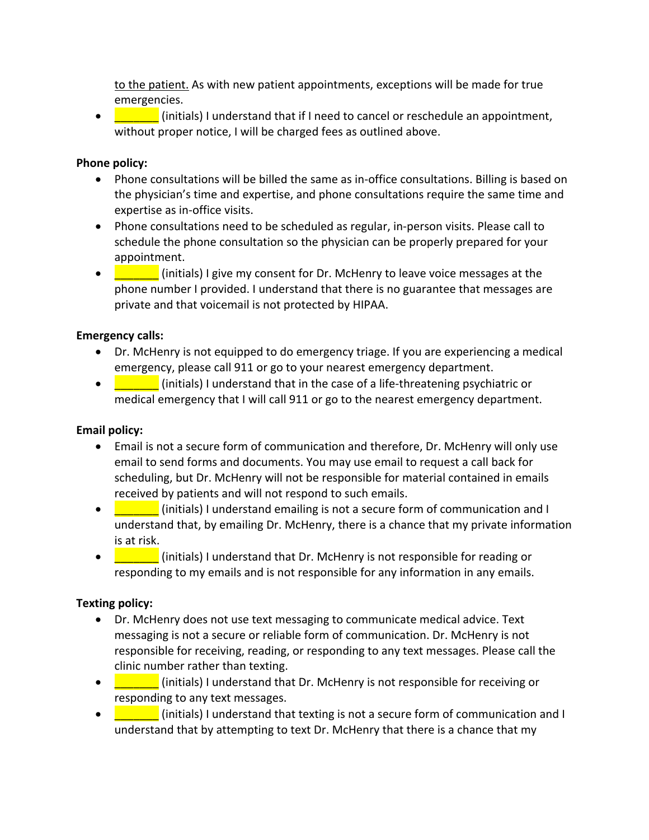to the patient. As with new patient appointments, exceptions will be made for true emergencies.

• **The Continuity of the Indian of the Universe** of the cancel or reschedule an appointment, without proper notice, I will be charged fees as outlined above.

### **Phone policy:**

- Phone consultations will be billed the same as in-office consultations. Billing is based on the physician's time and expertise, and phone consultations require the same time and expertise as in-office visits.
- Phone consultations need to be scheduled as regular, in-person visits. Please call to schedule the phone consultation so the physician can be properly prepared for your appointment.
- **The Constantial Consent of Consent for Dr.** McHenry to leave voice messages at the phone number I provided. I understand that there is no guarantee that messages are private and that voicemail is not protected by HIPAA.

## **Emergency calls:**

- Dr. McHenry is not equipped to do emergency triage. If you are experiencing a medical emergency, please call 911 or go to your nearest emergency department.
- **Example 1** (initials) I understand that in the case of a life-threatening psychiatric or medical emergency that I will call 911 or go to the nearest emergency department.

#### **Email policy:**

- Email is not a secure form of communication and therefore, Dr. McHenry will only use email to send forms and documents. You may use email to request a call back for scheduling, but Dr. McHenry will not be responsible for material contained in emails received by patients and will not respond to such emails.
- **Example 1** (initials) I understand emailing is not a secure form of communication and I understand that, by emailing Dr. McHenry, there is a chance that my private information is at risk.
- **If the light of the lings of the U.** (initials) I understand that Dr. McHenry is not responsible for reading or responding to my emails and is not responsible for any information in any emails.

## **Texting policy:**

- Dr. McHenry does not use text messaging to communicate medical advice. Text messaging is not a secure or reliable form of communication. Dr. McHenry is not responsible for receiving, reading, or responding to any text messages. Please call the clinic number rather than texting.
- **The Contract of the United Stands** in the U.S. McHenry is not responsible for receiving or responding to any text messages.
- **Example 1** (initials) I understand that texting is not a secure form of communication and I understand that by attempting to text Dr. McHenry that there is a chance that my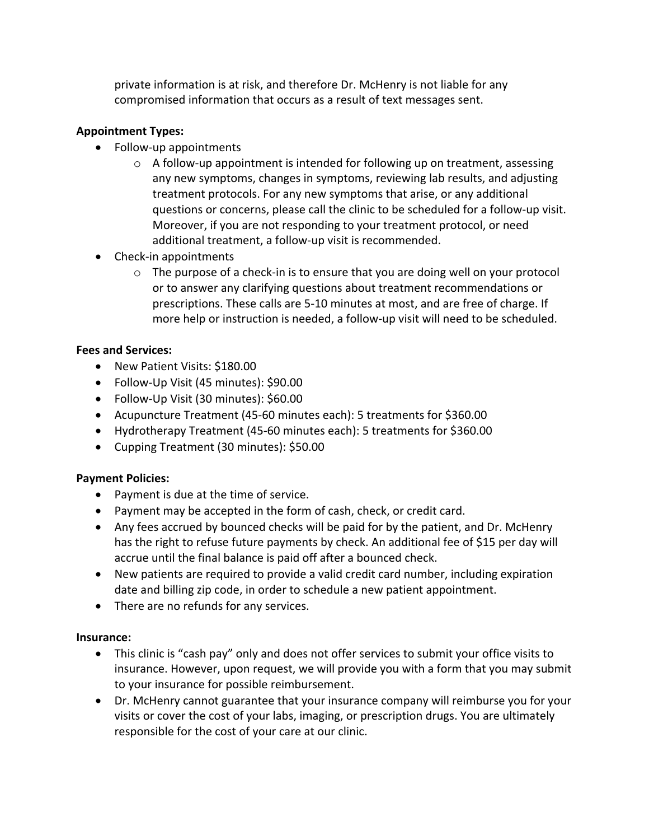private information is at risk, and therefore Dr. McHenry is not liable for any compromised information that occurs as a result of text messages sent.

# **Appointment Types:**

- Follow-up appointments
	- $\circ$  A follow-up appointment is intended for following up on treatment, assessing any new symptoms, changes in symptoms, reviewing lab results, and adjusting treatment protocols. For any new symptoms that arise, or any additional questions or concerns, please call the clinic to be scheduled for a follow-up visit. Moreover, if you are not responding to your treatment protocol, or need additional treatment, a follow-up visit is recommended.
- Check-in appointments
	- $\circ$  The purpose of a check-in is to ensure that you are doing well on your protocol or to answer any clarifying questions about treatment recommendations or prescriptions. These calls are 5-10 minutes at most, and are free of charge. If more help or instruction is needed, a follow-up visit will need to be scheduled.

## **Fees and Services:**

- New Patient Visits: \$180.00
- Follow-Up Visit (45 minutes): \$90.00
- Follow-Up Visit (30 minutes): \$60.00
- Acupuncture Treatment (45-60 minutes each): 5 treatments for \$360.00
- Hydrotherapy Treatment (45-60 minutes each): 5 treatments for \$360.00
- Cupping Treatment (30 minutes): \$50.00

## **Payment Policies:**

- Payment is due at the time of service.
- Payment may be accepted in the form of cash, check, or credit card.
- Any fees accrued by bounced checks will be paid for by the patient, and Dr. McHenry has the right to refuse future payments by check. An additional fee of \$15 per day will accrue until the final balance is paid off after a bounced check.
- New patients are required to provide a valid credit card number, including expiration date and billing zip code, in order to schedule a new patient appointment.
- There are no refunds for any services.

## **Insurance:**

- This clinic is "cash pay" only and does not offer services to submit your office visits to insurance. However, upon request, we will provide you with a form that you may submit to your insurance for possible reimbursement.
- Dr. McHenry cannot guarantee that your insurance company will reimburse you for your visits or cover the cost of your labs, imaging, or prescription drugs. You are ultimately responsible for the cost of your care at our clinic.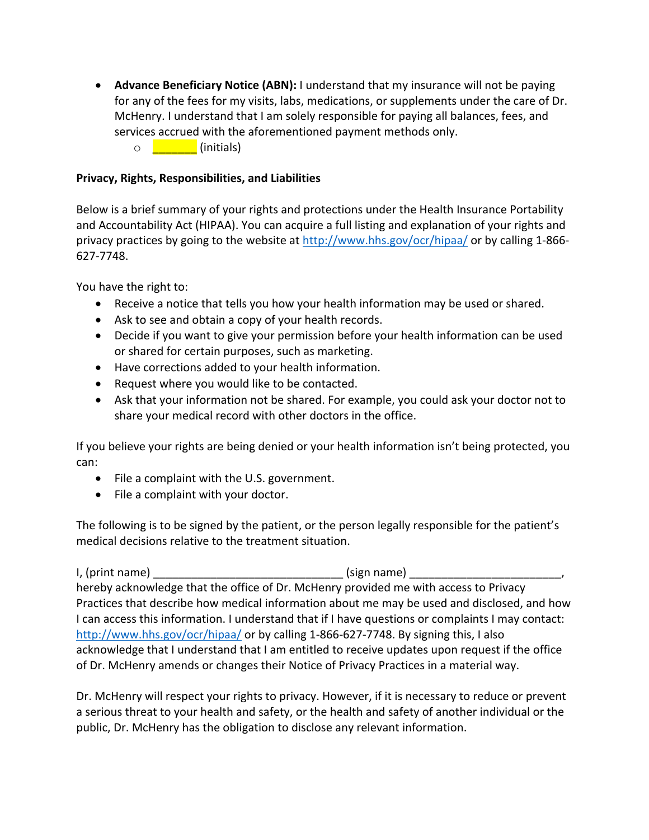• **Advance Beneficiary Notice (ABN):** I understand that my insurance will not be paying for any of the fees for my visits, labs, medications, or supplements under the care of Dr. McHenry. I understand that I am solely responsible for paying all balances, fees, and services accrued with the aforementioned payment methods only. o **initials**)

## **Privacy, Rights, Responsibilities, and Liabilities**

Below is a brief summary of your rights and protections under the Health Insurance Portability and Accountability Act (HIPAA). You can acquire a full listing and explanation of your rights and privacy practices by going to the website at http://www.hhs.gov/ocr/hipaa/ or by calling 1-866- 627-7748.

You have the right to:

- Receive a notice that tells you how your health information may be used or shared.
- Ask to see and obtain a copy of your health records.
- Decide if you want to give your permission before your health information can be used or shared for certain purposes, such as marketing.
- Have corrections added to your health information.
- Request where you would like to be contacted.
- Ask that your information not be shared. For example, you could ask your doctor not to share your medical record with other doctors in the office.

If you believe your rights are being denied or your health information isn't being protected, you can:

- File a complaint with the U.S. government.
- File a complaint with your doctor.

The following is to be signed by the patient, or the person legally responsible for the patient's medical decisions relative to the treatment situation.

I, (print name) \_\_\_\_\_\_\_\_\_\_\_\_\_\_\_\_\_\_\_\_\_\_\_\_\_\_\_\_\_\_ (sign name) \_\_\_\_\_\_\_\_\_\_\_\_\_\_\_\_\_\_\_\_\_\_\_\_, hereby acknowledge that the office of Dr. McHenry provided me with access to Privacy Practices that describe how medical information about me may be used and disclosed, and how I can access this information. I understand that if I have questions or complaints I may contact: http://www.hhs.gov/ocr/hipaa/ or by calling 1-866-627-7748. By signing this, I also acknowledge that I understand that I am entitled to receive updates upon request if the office of Dr. McHenry amends or changes their Notice of Privacy Practices in a material way.

Dr. McHenry will respect your rights to privacy. However, if it is necessary to reduce or prevent a serious threat to your health and safety, or the health and safety of another individual or the public, Dr. McHenry has the obligation to disclose any relevant information.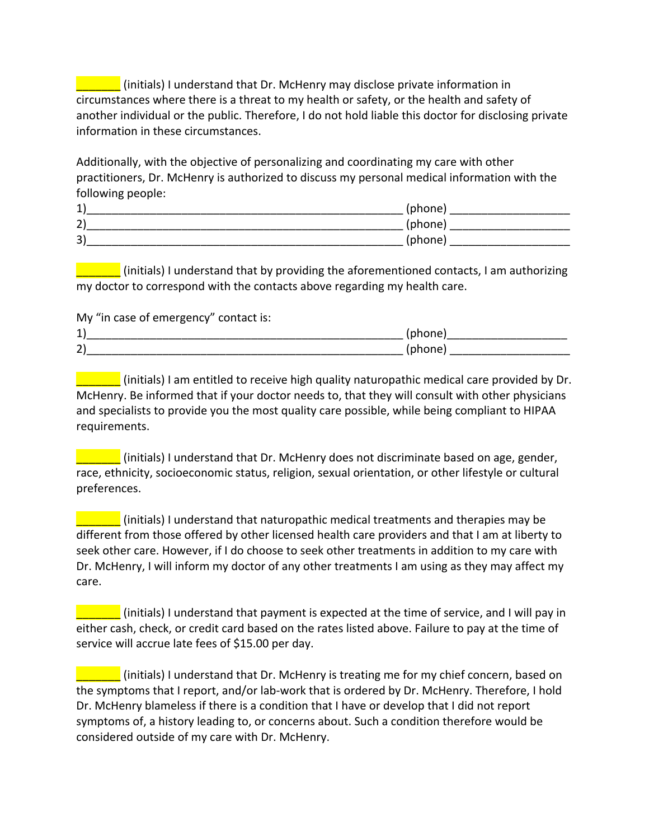\_\_\_\_\_\_\_ (initials) I understand that Dr. McHenry may disclose private information in circumstances where there is a threat to my health or safety, or the health and safety of another individual or the public. Therefore, I do not hold liable this doctor for disclosing private information in these circumstances.

Additionally, with the objective of personalizing and coordinating my care with other practitioners, Dr. McHenry is authorized to discuss my personal medical information with the following people:

| 1)                 | (phone) |
|--------------------|---------|
| $\mathbf{A}$<br>Z) | (phone) |
| 3)                 | (phone) |

\_\_\_\_\_\_\_ (initials) I understand that by providing the aforementioned contacts, I am authorizing my doctor to correspond with the contacts above regarding my health care.

My "in case of emergency" contact is:

| $\overline{ }$ |  |
|----------------|--|
| $\sim$<br>∼    |  |

**Example 10** (initials) I am entitled to receive high quality naturopathic medical care provided by Dr. McHenry. Be informed that if your doctor needs to, that they will consult with other physicians and specialists to provide you the most quality care possible, while being compliant to HIPAA requirements.

\_\_\_\_\_\_\_ (initials) I understand that Dr. McHenry does not discriminate based on age, gender, race, ethnicity, socioeconomic status, religion, sexual orientation, or other lifestyle or cultural preferences.

\_\_\_\_\_\_\_ (initials) I understand that naturopathic medical treatments and therapies may be different from those offered by other licensed health care providers and that I am at liberty to seek other care. However, if I do choose to seek other treatments in addition to my care with Dr. McHenry, I will inform my doctor of any other treatments I am using as they may affect my care.

\_\_\_\_\_\_\_ (initials) I understand that payment is expected at the time of service, and I will pay in either cash, check, or credit card based on the rates listed above. Failure to pay at the time of service will accrue late fees of \$15.00 per day.

\_\_\_\_\_\_\_ (initials) I understand that Dr. McHenry is treating me for my chief concern, based on the symptoms that I report, and/or lab-work that is ordered by Dr. McHenry. Therefore, I hold Dr. McHenry blameless if there is a condition that I have or develop that I did not report symptoms of, a history leading to, or concerns about. Such a condition therefore would be considered outside of my care with Dr. McHenry.